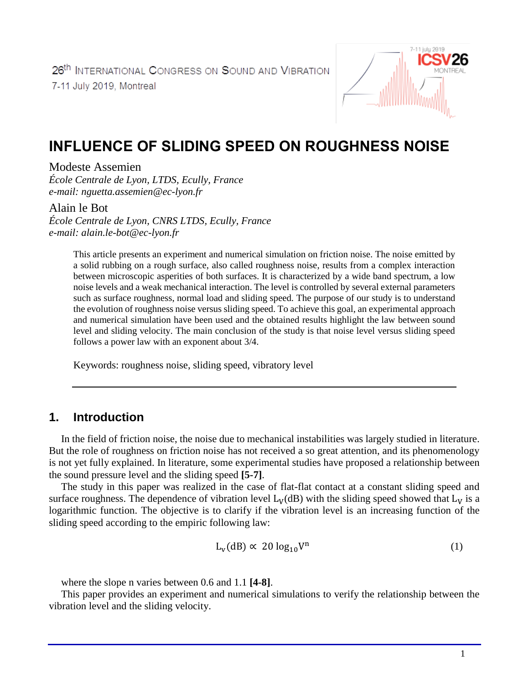

# **INFLUENCE OF SLIDING SPEED ON ROUGHNESS NOISE**

#### Modeste Assemien

*École Centrale de Lyon, LTDS, Ecully, France e-mail: nguetta.assemien@ec-lyon.fr*

#### Alain le Bot

*École Centrale de Lyon, CNRS LTDS, Ecully, France e-mail: alain.le-bot@ec-lyon.fr*

> This article presents an experiment and numerical simulation on friction noise. The noise emitted by a solid rubbing on a rough surface, also called roughness noise, results from a complex interaction between microscopic asperities of both surfaces. It is characterized by a wide band spectrum, a low noise levels and a weak mechanical interaction. The level is controlled by several external parameters such as surface roughness, normal load and sliding speed. The purpose of our study is to understand the evolution of roughness noise versus sliding speed. To achieve this goal, an experimental approach and numerical simulation have been used and the obtained results highlight the law between sound level and sliding velocity. The main conclusion of the study is that noise level versus sliding speed follows a power law with an exponent about 3/4.

Keywords: roughness noise, sliding speed, vibratory level

### **1. Introduction**

In the field of friction noise, the noise due to mechanical instabilities was largely studied in literature. But the role of roughness on friction noise has not received a so great attention, and its phenomenology is not yet fully explained. In literature, some experimental studies have proposed a relationship between the sound pressure level and the sliding speed **[5-7]**.

The study in this paper was realized in the case of flat-flat contact at a constant sliding speed and surface roughness. The dependence of vibration level  $L_V(dB)$  with the sliding speed showed that  $L_V$  is a logarithmic function. The objective is to clarify if the vibration level is an increasing function of the sliding speed according to the empiric following law:

$$
L_v(dB) \propto 20 \log_{10} V^n \tag{1}
$$

where the slope n varies between 0.6 and 1.1 **[4-8]**.

This paper provides an experiment and numerical simulations to verify the relationship between the vibration level and the sliding velocity.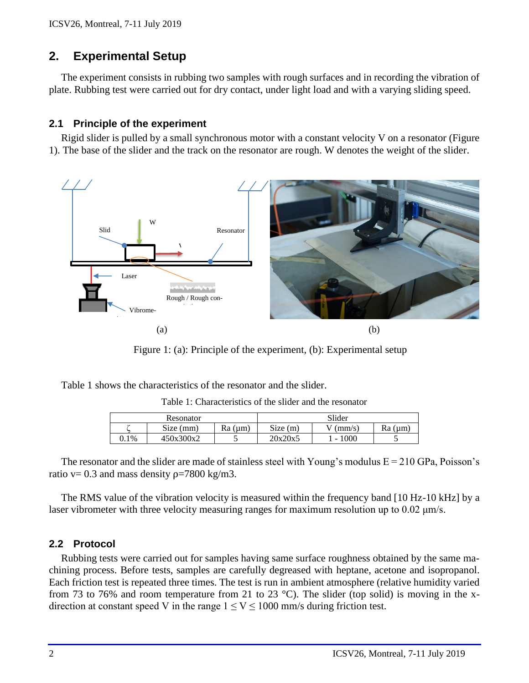# **2. Experimental Setup**

The experiment consists in rubbing two samples with rough surfaces and in recording the vibration of plate. Rubbing test were carried out for dry contact, under light load and with a varying sliding speed.

#### **2.1 Principle of the experiment**

Rigid slider is pulled by a small synchronous motor with a constant velocity V on a resonator (Figure 1). The base of the slider and the track on the resonator are rough. W denotes the weight of the slider.



Figure 1: (a): Principle of the experiment, (b): Experimental setup

Table 1 shows the characteristics of the resonator and the slider.

|         | Resonator |               | Slider  |        |               |  |  |
|---------|-----------|---------------|---------|--------|---------------|--|--|
|         | Size (mm) | $Ra$ ( $µm$ ) | Size(m) | (mm/s) | $Ra$ ( $µm$ ) |  |  |
| $0.1\%$ | 450x300x2 |               | 20x20x5 | 1000   |               |  |  |

The resonator and the slider are made of stainless steel with Young's modulus  $E = 210$  GPa, Poisson's ratio v= 0.3 and mass density  $\rho$ =7800 kg/m3.

The RMS value of the vibration velocity is measured within the frequency band [10 Hz-10 kHz] by a laser vibrometer with three velocity measuring ranges for maximum resolution up to 0.02 μm/s.

#### **2.2 Protocol**

Rubbing tests were carried out for samples having same surface roughness obtained by the same machining process. Before tests, samples are carefully degreased with heptane, acetone and isopropanol. Each friction test is repeated three times. The test is run in ambient atmosphere (relative humidity varied from 73 to 76% and room temperature from 21 to 23  $^{\circ}$ C). The slider (top solid) is moving in the xdirection at constant speed V in the range  $1 \le V \le 1000$  mm/s during friction test.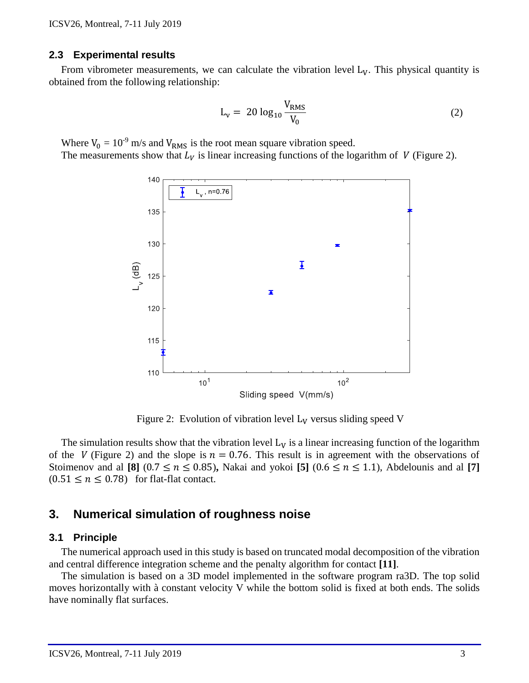#### **2.3 Experimental results**

From vibrometer measurements, we can calculate the vibration level  $L<sub>V</sub>$ . This physical quantity is obtained from the following relationship:

$$
L_{v} = 20 \log_{10} \frac{V_{RMS}}{V_{0}}
$$
 (2)

Where  $V_0 = 10^{-9}$  m/s and  $V_{RMS}$  is the root mean square vibration speed. The measurements show that  $L_V$  is linear increasing functions of the logarithm of V (Figure 2).



Figure 2: Evolution of vibration level  $L_V$  versus sliding speed V

The simulation results show that the vibration level  $L_V$  is a linear increasing function of the logarithm of the V (Figure 2) and the slope is  $n = 0.76$ . This result is in agreement with the observations of Stoimenov and al **[8]** (0.7  $\leq n \leq$  0.85), Nakai and yokoi **[5]** (0.6  $\leq n \leq$  1.1), Abdelounis and al **[7]**  $(0.51 \le n \le 0.78)$  for flat-flat contact.

#### **3. Numerical simulation of roughness noise**

#### **3.1 Principle**

The numerical approach used in this study is based on truncated modal decomposition of the vibration and central difference integration scheme and the penalty algorithm for contact **[11]**.

The simulation is based on a 3D model implemented in the software program ra3D. The top solid moves horizontally with à constant velocity V while the bottom solid is fixed at both ends. The solids have nominally flat surfaces.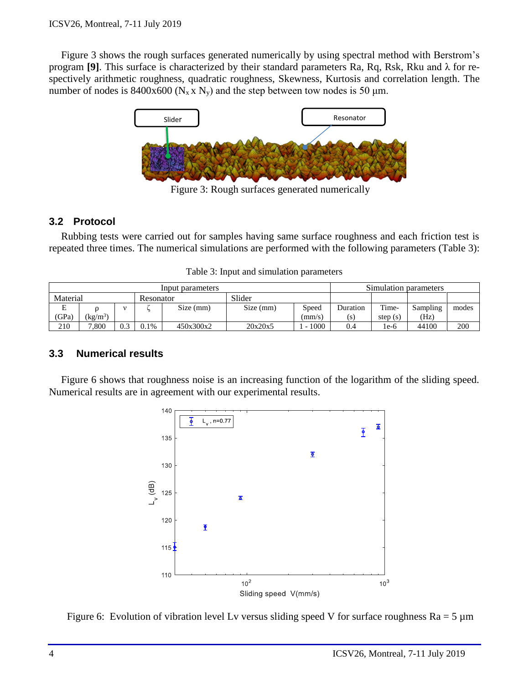Figure 3 shows the rough surfaces generated numerically by using spectral method with Berstrom's program **[9]**. This surface is characterized by their standard parameters Ra, Rq, Rsk, Rku and λ for respectively arithmetic roughness, quadratic roughness, Skewness, Kurtosis and correlation length. The number of nodes is 8400x600 ( $N_x$ x  $N_y$ ) and the step between tow nodes is 50  $\mu$ m.



Figure 3: Rough surfaces generated numerically

### **3.2 Protocol**

Rubbing tests were carried out for samples having same surface roughness and each friction test is repeated three times. The numerical simulations are performed with the following parameters (Table 3):

|  |  |  | Table 3: Input and simulation parameters |
|--|--|--|------------------------------------------|
|--|--|--|------------------------------------------|

| Input parameters |                |     |           |           | Simulation parameters |        |          |            |          |       |
|------------------|----------------|-----|-----------|-----------|-----------------------|--------|----------|------------|----------|-------|
| Material         |                |     | Resonator |           | Slider                |        |          |            |          |       |
| E                |                |     |           | Size (mm) | Size (mm)             | Speed  | Duration | Time-      | Sampling | modes |
| 'GPa)            | $\rm (kg/m^3)$ |     |           |           |                       | (mm/s) | (s)      | step $(s)$ | (Hz)     |       |
| 210              | 7.800          | 0.3 | 0.1%      | 450x300x2 | 20x20x5               | 1000   | 0.4      | $1e-6$     | 44100    | 200   |

#### **3.3 Numerical results**

Figure 6 shows that roughness noise is an increasing function of the logarithm of the sliding speed. Numerical results are in agreement with our experimental results.



Figure 6: Evolution of vibration level Lv versus sliding speed V for surface roughness  $Ra = 5 \mu m$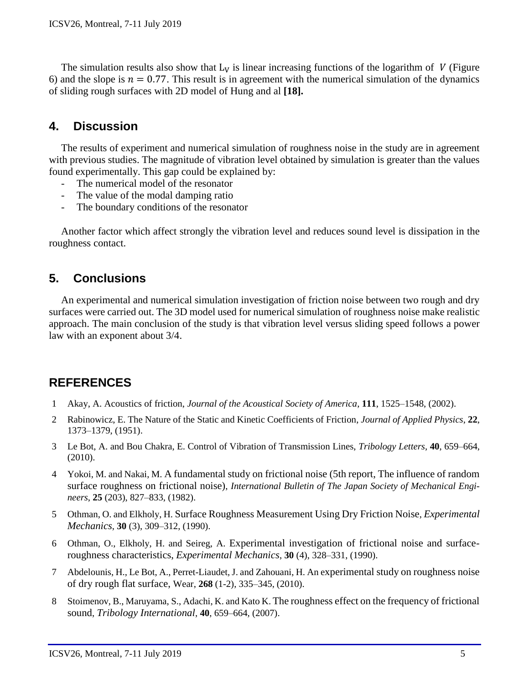The simulation results also show that  $L_V$  is linear increasing functions of the logarithm of V (Figure 6) and the slope is  $n = 0.77$ . This result is in agreement with the numerical simulation of the dynamics of sliding rough surfaces with 2D model of Hung and al **[18].** 

### **4. Discussion**

The results of experiment and numerical simulation of roughness noise in the study are in agreement with previous studies. The magnitude of vibration level obtained by simulation is greater than the values found experimentally. This gap could be explained by:

- The numerical model of the resonator
- The value of the modal damping ratio
- The boundary conditions of the resonator

Another factor which affect strongly the vibration level and reduces sound level is dissipation in the roughness contact.

## **5. Conclusions**

An experimental and numerical simulation investigation of friction noise between two rough and dry surfaces were carried out. The 3D model used for numerical simulation of roughness noise make realistic approach. The main conclusion of the study is that vibration level versus sliding speed follows a power law with an exponent about 3/4.

## **REFERENCES**

- 1 Akay, A. Acoustics of friction, *Journal of the Acoustical Society of America*, **111**, 1525–1548, (2002).
- 2 Rabinowicz, E. The Nature of the Static and Kinetic Coefficients of Friction, *Journal of Applied Physics*, **22**, 1373–1379, (1951).
- 3 Le Bot, A. and Bou Chakra, E. Control of Vibration of Transmission Lines, *Tribology Letters*, **40**, 659–664, (2010).
- 4 Yokoi, M. and Nakai, M. A fundamental study on frictional noise (5th report, The influence of random surface roughness on frictional noise), *International Bulletin of [The Japan Society of Mechanical Engi](http://www.jsme.or.jp/English/)[neers](http://www.jsme.or.jp/English/)*, **25** (203), 827–833, (1982).
- 5 Othman, O. and Elkholy, H. Surface Roughness Measurement Using Dry Friction Noise, *[Experimental](https://link.springer.com/journal/11340)  [Mechanics](https://link.springer.com/journal/11340)*, **30** (3), 309–312, (1990).
- 6 Othman, O., Elkholy, H. and Seireg, A. Experimental investigation of frictional noise and surfaceroughness characteristics, *[Experimental Mechanics](https://link.springer.com/journal/11340)*, **30** (4), 328–331, (1990).
- 7 Abdelounis, H., Le Bot, A., Perret-Liaudet, J. and Zahouani, H. An experimental study on roughness noise of dry rough flat surface, Wear, **268** (1-2), 335–345, (2010).
- 8 Stoimenov, B., Maruyama, S., Adachi, K. and Kato K. The roughness effect on the frequency of frictional sound, *Tribology International*, **40**, 659–664, (2007).